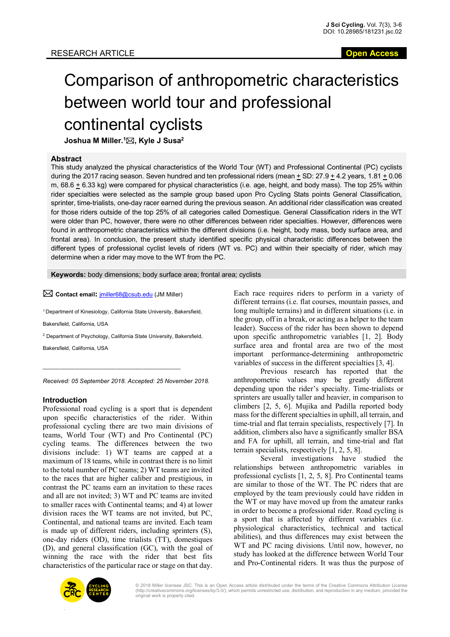# Comparison of anthropometric characteristics between world tour and professional continental cyclists

**Joshua M Miller. 1** \***, Kyle J Susa2**

#### **Abstract**

This study analyzed the physical characteristics of the World Tour (WT) and Professional Continental (PC) cyclists during the 2017 racing season. Seven hundred and ten professional riders (mean  $\pm$  SD: 27.9  $\pm$  4.2 years, 1.81  $\pm$  0.06 m,  $68.6 \pm 6.33$  kg) were compared for physical characteristics (i.e. age, height, and body mass). The top 25% within rider specialties were selected as the sample group based upon Pro Cycling Stats points General Classification, sprinter, time-trialists, one-day racer earned during the previous season. An additional rider classification was created for those riders outside of the top 25% of all categories called Domestique. General Classification riders in the WT were older than PC, however, there were no other differences between rider specialties. However, differences were found in anthropometric characteristics within the different divisions (i.e. height, body mass, body surface area, and frontal area). In conclusion, the present study identified specific physical characteristic differences between the different types of professional cyclist levels of riders (WT vs. PC) and within their specialty of rider, which may determine when a rider may move to the WT from the PC.

**Keywords:** body dimensions; body surface area; frontal area; cyclists

 $\boxtimes$  Contact email: *jmiller68@csub.edu* (JM Miller)

*\_\_\_\_\_\_\_\_\_\_\_\_\_\_\_\_\_\_\_\_\_\_\_\_\_\_\_\_\_\_\_\_\_\_\_\_\_\_\_\_\_\_\_\_\_\_\_*

*<sup>1</sup>*Department of Kinesiology, California State University, Bakersfield,

Bakersfield, California, USA

<sup>2</sup> Department of Psychology, California State University, Bakersfield,

Bakersfield, California, USA

*Received: 05 September 2018. Accepted: 25 November 2018.*

#### **Introduction**

Professional road cycling is a sport that is dependent upon specific characteristics of the rider. Within professional cycling there are two main divisions of teams, World Tour (WT) and Pro Continental (PC) cycling teams. The differences between the two divisions include: 1) WT teams are capped at a maximum of 18 teams, while in contrast there is no limit to the total number of PC teams; 2) WT teams are invited to the races that are higher caliber and prestigious, in contrast the PC teams earn an invitation to these races and all are not invited; 3) WT and PC teams are invited to smaller races with Continental teams; and 4) at lower division races the WT teams are not invited, but PC, Continental, and national teams are invited. Each team is made up of different riders, including sprinters (S), one-day riders (OD), time trialists (TT), domestiques (D), and general classification (GC), with the goal of winning the race with the rider that best fits characteristics of the particular race or stage on that day.

Each race requires riders to perform in a variety of different terrains (i.e. flat courses, mountain passes, and long multiple terrains) and in different situations (i.e. in the group, off in a break, or acting as a helper to the team leader). Success of the rider has been shown to depend upon specific anthropometric variables [1, 2]. Body surface area and frontal area are two of the most important performance-determining anthropometric variables of success in the different specialties [3, 4].

Previous research has reported that the anthropometric values may be greatly different depending upon the rider's specialty. Time-trialists or sprinters are usually taller and heavier, in comparison to climbers [2, 5, 6]. Mujika and Padilla reported body mass for the different specialties in uphill, all terrain, and time-trial and flat terrain specialists, respectively [7]. In addition, climbers also have a significantly smaller BSA and FA for uphill, all terrain, and time-trial and flat terrain specialists, respectively [1, 2, 5, 8].

Several investigations have studied the relationships between anthropometric variables in professional cyclists [1, 2, 5, 8]. Pro Continental teams are similar to those of the WT. The PC riders that are employed by the team previously could have ridden in the WT or may have moved up from the amateur ranks in order to become a professional rider. Road cycling is a sport that is affected by different variables (i.e. physiological characteristics, technical and tactical abilities), and thus differences may exist between the WT and PC racing divisions. Until now, however, no study has looked at the difference between World Tour and Pro-Continental riders. It was thus the purpose of



© 2018 Miller licensee JSC. This is an Open Access article distributed under the terms of the Creative Commons Attribution License (http://creativecommons.org/licenses/by/3.0/), which permits unrestricted use, distribution, and reproduction in any medium, provided the original work is properly cited.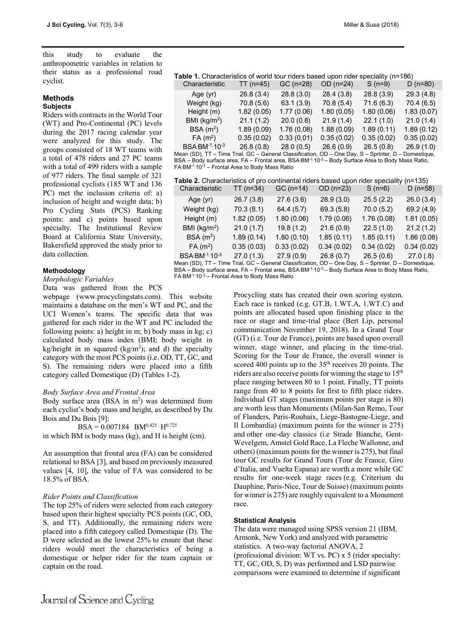this study to evaluate the anthropometric variables in relation to their status as a professional road cyclist.

# **Methods**

# **Subjects**

Riders with contracts in the World Tour (WT) and Pro-Continental (PC) levels during the 2017 racing calendar year were analyzed for this study. The groups consisted of 18 WT teams with a total of 478 riders and 27 PC teams with a total of 499 riders with a sample of 977 riders. The final sample of 321 professional cyclists (185 WT and 136 PC) met the inclusion criteria of: a) inclusion of height and weight data; b) Pro Cycling Stats (PCS) Ranking points: and c) points based upon specialty. The Institutional Review Board at California State University, Bakersfield approved the study prior to data collection.

# **Methodology**

*Morphologic Variables*

Data was gathered from the PCS

webpage (www.procyclingstats.com). This website maintains a database on the men's WT and PC, and the UCI Women's teams. The specific data that was gathered for each rider in the WT and PC included the following points: a) height in m; b) body mass in kg; c) calculated body mass index (BMI; body weight in kg/height in m squared  $(kg/m^2)$ ; and d) the specialty category with the most PCS points (i.e. OD, TT, GC, and S). The remaining riders were placed into a fifth category called Domestique (D) (Tables 1-2).

# *Body Surface Area and Frontal Area*

Body surface area  $(BSA \text{ in } m^2)$  was determined from each cyclist's body mass and height, as described by Du Bois and Du Bois [9]:

 $BSA = 0.007184$   $BM^{0.425}$   $H^{0.725}$ 

in which BM is body mass (kg), and H is height (cm).

An assumption that frontal area (FA) can be considered relational to BSA [3], and based on previously measured values [4, 10], the value of FA was considered to be 18.5% of BSA.

# *Rider Points and Classification*

The top 25% of riders were selected from each category based upon their highest specialty PCS points (GC, OD, S, and TT). Additionally, the remaining riders were placed into a fifth category called Domestique (D). The D were selected as the lowest 25% to ensure that these riders would meet the characteristics of being a domestique or helper rider for the team captain or captain on the road.

#### **Table 1.** Characteristics of world tour riders based upon rider speciality (n=186)

| Characteristic                                                         | $TT$ (n=45) | $GC (n=28)$ | OD (n=24)  | $S(n=9)$                    | D ( $n=80$ ) |
|------------------------------------------------------------------------|-------------|-------------|------------|-----------------------------|--------------|
| Age (yr)                                                               | 26.8(3.4)   | 28.8(3.0)   | 28.4(3.8)  | 28.8 (3.9)                  | 29.3(4.8)    |
| Weight (kg)                                                            | 70.8(5.6)   | 63.1(3.9)   | 70.8(5.4)  | 71.6(6.3)                   | 70.4(6.5)    |
| Height (m)                                                             | 1.82(0.05)  | 1.77(0.06)  | 1.80(0.05) | 1.80(0.06)                  | 1.83(0.07)   |
| BMI ( $kg/m2$ )                                                        | 21.1(1.2)   | 20.0(0.8)   | 21.9(1.4)  | 22.1(1.0)                   | 21.0(1.4)    |
| BSA $(m2)$                                                             | 1.89(0.09)  | 1.76(0.08)  | 1.88(0.09) | 1.89(0.11)                  | 1.89(0.12)   |
| $FA(m^2)$                                                              | 0.35(0.02)  | 0.33(0.01)  | 0.35(0.02) | 0.35(0.02)                  | 0.35(0.02)   |
| BSA BM-1.10-3                                                          | 26.8(0.8)   | 28.0(0.5)   | 26.6(0.9)  | 26.5(0.8)                   | 26.9(1.0)    |
| lean (SD). TT – Time Trial. GC – General Classification. OD – One Dav. |             |             |            | S — Sprinter D — Domestique |              |

Mean (SD), TT – Time Trial, GC – General Classification, OD – One Day, S – Sprinter, D – Domestique,<br>BSA – Body surface area, FA – Frontal area, BSA·BM<sup>-1.</sup>10<sup>-3</sup> – Body Surface Area to Body Mass Ratio, FA. BM-1.10-3 – Frontal Area to Body Mass Ratio

**Table 2.** Characteristics of pro continental riders based upon rider speciality (n=135)

| Characteristic                                                                                       | $TT (n=34)$ | $GC (n=14)$ | OD (n=23)  | $S(n=6)$   | $D(n=58)$  |
|------------------------------------------------------------------------------------------------------|-------------|-------------|------------|------------|------------|
| Age $(yr)$                                                                                           | 26.7(3.8)   | 27.6(3.6)   | 28.9(3.0)  | 25.5(2.2)  | 26.0(3.4)  |
| Weight (kg)                                                                                          | 70.3(8.1)   | 64.4(5.7)   | 69.3 (5.8) | 70.0(5.2)  | 69.2 (4.9) |
| Height (m)                                                                                           | 1.82(0.05)  | 1.80(0.06)  | 1.79(0.06) | 1.76(0.08) | 1.81(0.05) |
| BMI ( $kg/m2$ )                                                                                      | 21.0(1.7)   | 19.8(1.2)   | 21.6(0.9)  | 22.5(1.0)  | 21.2(1.2)  |
| BSA $(m2)$                                                                                           | 1.89(0.14)  | 1.80(0.10)  | 1.85(0.11) | 1.85(0.11) | 1.86(0.08) |
| $FA(m^2)$                                                                                            | 0.35(0.03)  | 0.33(0.02)  | 0.34(0.02) | 0.34(0.02) | 0.34(0.02) |
| BSA BM-1.10-3                                                                                        | 27.0(1.3)   | 27.9(0.9)   | 26.8(0.7)  | 26.5(0.6)  | 27.0(.8)   |
| Mean (SD), TT – Time Trial, GC – General Classification, OD – One Day, S – Sprinter, D – Domestique, |             |             |            |            |            |

BSA – Body surface area, FA – Frontal area, BSA·BM<sup>-1.</sup>10<sup>-3</sup> – Body Surface Area to Body Mass Ratio, FA. BM-1.10-3 – Frontal Area to Body Mass Ratio

> Procycling stats has created their own scoring system. Each race is ranked (e.g. GT.B, 1.WT.A, 1.WT.C) and points are allocated based upon finishing place in the race or stage and time-trial place (Bert Lip, personal communication November 19, 2018). In a Grand Tour (GT) (i.e. Tour de France), points are based upon overall winner, stage winner, and placing in the time-trial. Scoring for the Tour de France, the overall winner is scored 400 points up to the 35<sup>th</sup> receives 20 points. The riders are also receive points for winning the stage to 15<sup>th</sup> place ranging between 80 to 1 point. Finally, TT points range from 40 to 8 points for first to fifth place riders. Individual GT stages (maximum points per stage is 80) are worth less than Monuments (Milan-San Remo, Tour of Flanders, Paris-Roubaix, Liege-Bastogne-Liege, and Il Lombardia) (maximum points for the winner is 275) and other one-day classics (i.e Strade Bianche, Gent-Wevelgem, Amstel Gold Race, La Fleche Wallonne, and others) (maximum points for the winner is 275), but final tour GC results for Grand Tours (Tour de France, Giro d'Italia, and Vuelta Espana) are worth a more while GC results for one-week stage races (e.g. Criterium du Dauphine, Paris-Nice, Tour de Suisse) (maximum points for winner is 275) are roughly equivalent to a Monument race.

# **Statistical Analysis**

The data were managed using SPSS version 21 (IBM, Armonk, New York) and analyzed with parametric statistics. A two-way factorial ANOVA, 2 (professional division: WT vs. PC) x 5 (rider specialty: TT, GC, OD, S, D) was performed and LSD pairwise comparisons were examined to determine if significant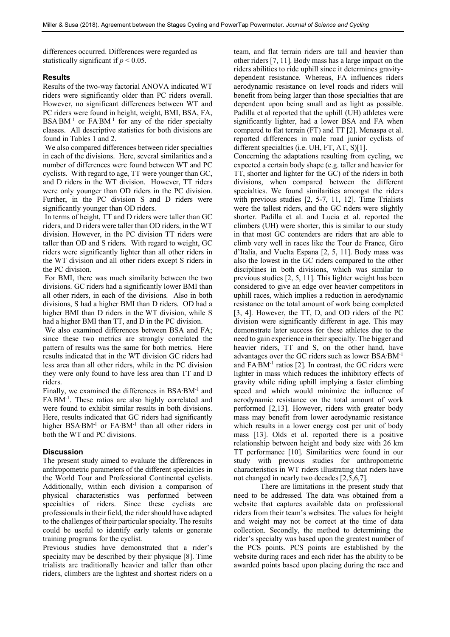differences occurred. Differences were regarded as statistically significant if  $p < 0.05$ .

# **Results**

Results of the two-way factorial ANOVA indicated WT riders were significantly older than PC riders overall. However, no significant differences between WT and PC riders were found in height, weight, BMI, BSA, FA,  $BSA·BM<sup>-1</sup>$  or  $FA·BM<sup>-1</sup>$  for any of the rider specialty classes. All descriptive statistics for both divisions are found in Tables 1 and 2.

We also compared differences between rider specialties in each of the divisions. Here, several similarities and a number of differences were found between WT and PC cyclists. With regard to age, TT were younger than GC, and D riders in the WT division. However, TT riders were only younger than OD riders in the PC division. Further, in the PC division S and D riders were significantly younger than OD riders.

In terms of height, TT and D riders were taller than GC riders, and D riders were taller than OD riders, in the WT division. However, in the PC division TT riders were taller than OD and S riders. With regard to weight, GC riders were significantly lighter than all other riders in the WT division and all other riders except S riders in the PC division.

For BMI, there was much similarity between the two divisions. GC riders had a significantly lower BMI than all other riders, in each of the divisions. Also in both divisions, S had a higher BMI than D riders. OD had a higher BMI than D riders in the WT division, while S had a higher BMI than TT, and D in the PC division.

We also examined differences between BSA and FA; since these two metrics are strongly correlated the pattern of results was the same for both metrics. Here results indicated that in the WT division GC riders had less area than all other riders, while in the PC division they were only found to have less area than TT and D riders.

Finally, we examined the differences in BSA BM<sup>-1</sup> and FA BM<sup>-1</sup>. These ratios are also highly correlated and were found to exhibit similar results in both divisions. Here, results indicated that GC riders had significantly higher BSA BM<sup>-1</sup> or FA BM<sup>-1</sup> than all other riders in both the WT and PC divisions.

# **Discussion**

The present study aimed to evaluate the differences in anthropometric parameters of the different specialties in the World Tour and Professional Continental cyclists. Additionally, within each division a comparison of physical characteristics was performed between specialties of riders. Since these cyclists are professionals in their field, the rider should have adapted to the challenges of their particular specialty. The results could be useful to identify early talents or generate training programs for the cyclist.

Previous studies have demonstrated that a rider's specialty may be described by their physique [8]. Time trialists are traditionally heavier and taller than other riders, climbers are the lightest and shortest riders on a team, and flat terrain riders are tall and heavier than other riders [7, 11]. Body mass has a large impact on the riders abilities to ride uphill since it determines gravitydependent resistance. Whereas, FA influences riders aerodynamic resistance on level roads and riders will benefit from being larger than those specialties that are dependent upon being small and as light as possible. Padilla et al reported that the uphill (UH) athletes were significantly lighter, had a lower BSA and FA when compared to flat terrain (FT) and TT [2]. Menaspa et al. reported differences in male road junior cyclists of different specialties (i.e. UH, FT, AT, S)[1].

Concerning the adaptations resulting from cycling, we expected a certain body shape (e.g. taller and heavier for TT, shorter and lighter for the GC) of the riders in both divisions, when compared between the different specialties. We found similarities amongst the riders with previous studies [2, 5-7, 11, 12]. Time Trialists were the tallest riders, and the GC riders were slightly shorter. Padilla et al. and Lucia et al. reported the climbers (UH) were shorter, this is similar to our study in that most GC contenders are riders that are able to climb very well in races like the Tour de France, Giro d'Italia, and Vuelta Espana [2, 5, 11]. Body mass was also the lowest in the GC riders compared to the other disciplines in both divisions, which was similar to previous studies [2, 5, 11]. This lighter weight has been considered to give an edge over heavier competitors in uphill races, which implies a reduction in aerodynamic resistance on the total amount of work being completed [3, 4]. However, the TT, D, and OD riders of the PC division were significantly different in age. This may demonstrate later success for these athletes due to the need to gain experience in their specialty. The bigger and heavier riders, TT and S, on the other hand, have advantages over the GC riders such as lower BSA BM<sup>-1</sup> and  $FABM^{-1}$  ratios [2]. In contrast, the GC riders were lighter in mass which reduces the inhibitory effects of gravity while riding uphill implying a faster climbing speed and which would minimize the influence of aerodynamic resistance on the total amount of work performed [2,13]. However, riders with greater body mass may benefit from lower aerodynamic resistance which results in a lower energy cost per unit of body mass [13]. Olds et al. reported there is a positive relationship between height and body size with 26 km TT performance [10]. Similarities were found in our study with previous studies for anthropometric characteristics in WT riders illustrating that riders have not changed in nearly two decades [2,5,6,7].

There are limitations in the present study that need to be addressed. The data was obtained from a website that captures available data on professional riders from their team's websites. The values for height and weight may not be correct at the time of data collection. Secondly, the method to determining the rider's specialty was based upon the greatest number of the PCS points. PCS points are established by the website during races and each rider has the ability to be awarded points based upon placing during the race and